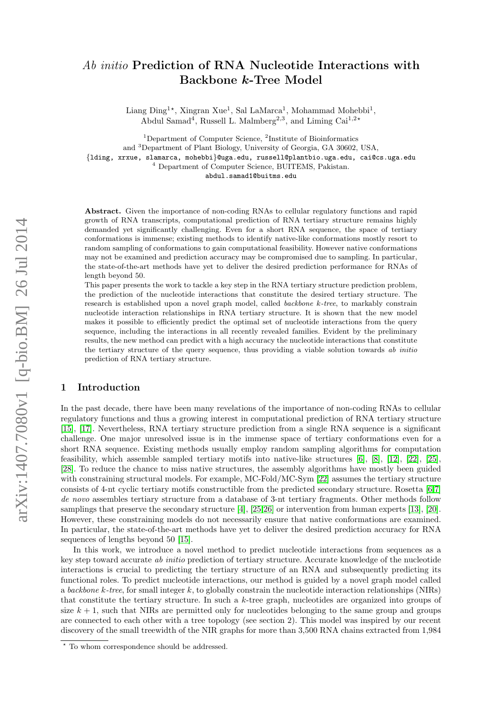# Ab initio Prediction of RNA Nucleotide Interactions with Backbone k-Tree Model

Liang Ding<sup>1\*</sup>, Xingran Xue<sup>1</sup>, Sal LaMarca<sup>1</sup>, Mohammad Mohebbi<sup>1</sup>, Abdul Samad<sup>4</sup>, Russell L. Malmberg<sup>2,3</sup>, and Liming Cai<sup>1,2\*</sup>

<sup>1</sup>Department of Computer Science, <sup>2</sup>Institute of Bioinformatics and <sup>3</sup>Department of Plant Biology, University of Georgia, GA 30602, USA, {lding, xrxue, slamarca, mohebbi}@uga.edu, russell@plantbio.uga.edu, cai@cs.uga.edu <sup>4</sup> Department of Computer Science, BUITEMS, Pakistan. abdul.samad1@buitms.edu

Abstract. Given the importance of non-coding RNAs to cellular regulatory functions and rapid growth of RNA transcripts, computational prediction of RNA tertiary structure remains highly demanded yet significantly challenging. Even for a short RNA sequence, the space of tertiary conformations is immense; existing methods to identify native-like conformations mostly resort to random sampling of conformations to gain computational feasibility. However native conformations may not be examined and prediction accuracy may be compromised due to sampling. In particular, the state-of-the-art methods have yet to deliver the desired prediction performance for RNAs of length beyond 50.

This paper presents the work to tackle a key step in the RNA tertiary structure prediction problem, the prediction of the nucleotide interactions that constitute the desired tertiary structure. The research is established upon a novel graph model, called backbone k-tree, to markably constrain nucleotide interaction relationships in RNA tertiary structure. It is shown that the new model makes it possible to efficiently predict the optimal set of nucleotide interactions from the query sequence, including the interactions in all recently revealed families. Evident by the preliminary results, the new method can predict with a high accuracy the nucleotide interactions that constitute the tertiary structure of the query sequence, thus providing a viable solution towards ab initio prediction of RNA tertiary structure.

# 1 Introduction

In the past decade, there have been many revelations of the importance of non-coding RNAs to cellular regulatory functions and thus a growing interest in computational prediction of RNA tertiary structure [\[15\]](#page-11-0), [\[17\]](#page-11-1). Nevertheless, RNA tertiary structure prediction from a single RNA sequence is a significant challenge. One major unresolved issue is in the immense space of tertiary conformations even for a short RNA sequence. Existing methods usually employ random sampling algorithms for computation feasibility, which assemble sampled tertiary motifs into native-like structures [\[6\]](#page-10-0), [\[8\]](#page-10-1), [\[12\]](#page-10-2), [\[22\]](#page-11-2), [\[25\]](#page-11-3), [\[28\]](#page-11-4). To reduce the chance to miss native structures, the assembly algorithms have mostly been guided with constraining structural models. For example, MC-Fold/MC-Sym [\[22\]](#page-11-2) assumes the tertiary structure consists of 4-nt cyclic tertiary motifs constructible from the predicted secondary structure. Rosetta [\[6,](#page-10-0)[7\]](#page-10-3) de novo assembles tertiary structure from a database of 3-nt tertiary fragments. Other methods follow samplings that preserve the secondary structure [\[4\]](#page-10-4), [\[25,](#page-11-3)[26\]](#page-11-5) or intervention from human experts [\[13\]](#page-10-5), [\[20\]](#page-11-6). However, these constraining models do not necessarily ensure that native conformations are examined. In particular, the state-of-the-art methods have yet to deliver the desired prediction accuracy for RNA sequences of lengths beyond 50 [\[15\]](#page-11-0).

In this work, we introduce a novel method to predict nucleotide interactions from sequences as a key step toward accurate ab initio prediction of tertiary structure. Accurate knowledge of the nucleotide interactions is crucial to predicting the tertiary structure of an RNA and subsequently predicting its functional roles. To predict nucleotide interactions, our method is guided by a novel graph model called a backbone k-tree, for small integer k, to globally constrain the nucleotide interaction relationships (NIRs) that constitute the tertiary structure. In such a k-tree graph, nucleotides are organized into groups of size  $k + 1$ , such that NIRs are permitted only for nucleotides belonging to the same group and groups are connected to each other with a tree topology (see section 2). This model was inspired by our recent discovery of the small treewidth of the NIR graphs for more than 3,500 RNA chains extracted from 1,984

<sup>?</sup> To whom correspondence should be addressed.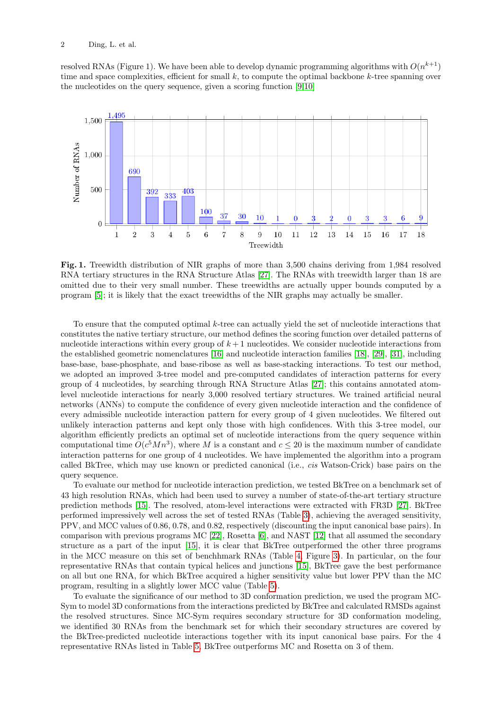resolved RNAs (Figure 1). We have been able to develop dynamic programming algorithms with  $O(n^{k+1})$ time and space complexities, efficient for small  $k$ , to compute the optimal backbone  $k$ -tree spanning over the nucleotides on the query sequence, given a scoring function [\[9,](#page-10-6)[10\]](#page-10-7)



<span id="page-1-0"></span>Fig. 1. Treewidth distribution of NIR graphs of more than 3,500 chains deriving from 1,984 resolved RNA tertiary structures in the RNA Structure Atlas [\[27\]](#page-11-7). The RNAs with treewidth larger than 18 are omitted due to their very small number. These treewidths are actually upper bounds computed by a program [\[5\]](#page-10-8); it is likely that the exact treewidths of the NIR graphs may actually be smaller.

To ensure that the computed optimal k-tree can actually yield the set of nucleotide interactions that constitutes the native tertiary structure, our method defines the scoring function over detailed patterns of nucleotide interactions within every group of  $k + 1$  nucleotides. We consider nucleotide interactions from the established geometric nomenclatures [\[16\]](#page-11-8) and nucleotide interaction families [\[18\]](#page-11-9), [\[29\]](#page-11-10), [\[31\]](#page-11-11), including base-base, base-phosphate, and base-ribose as well as base-stacking interactions. To test our method, we adopted an improved 3-tree model and pre-computed candidates of interaction patterns for every group of 4 nucleotides, by searching through RNA Structure Atlas [\[27\]](#page-11-7); this contains annotated atomlevel nucleotide interactions for nearly 3,000 resolved tertiary structures. We trained artificial neural networks (ANNs) to compute the confidence of every given nucleotide interaction and the confidence of every admissible nucleotide interaction pattern for every group of 4 given nucleotides. We filtered out unlikely interaction patterns and kept only those with high confidences. With this 3-tree model, our algorithm efficiently predicts an optimal set of nucleotide interactions from the query sequence within computational time  $O(c^5Mn^3)$ , where M is a constant and  $c \leq 20$  is the maximum number of candidate interaction patterns for one group of 4 nucleotides. We have implemented the algorithm into a program called BkTree, which may use known or predicted canonical (i.e., cis Watson-Crick) base pairs on the query sequence.

To evaluate our method for nucleotide interaction prediction, we tested BkTree on a benchmark set of 43 high resolution RNAs, which had been used to survey a number of state-of-the-art tertiary structure prediction methods [\[15\]](#page-11-0). The resolved, atom-level interactions were extracted with FR3D [\[27\]](#page-11-7). BkTree performed impressively well across the set of tested RNAs (Table [3\)](#page-7-0), achieving the averaged sensitivity, PPV, and MCC values of 0.86, 0.78, and 0.82, respectively (discounting the input canonical base pairs). In comparison with previous programs MC [\[22\]](#page-11-2), Rosetta [\[6\]](#page-10-0), and NAST [\[12\]](#page-10-2) that all assumed the secondary structure as a part of the input [\[15\]](#page-11-0), it is clear that BkTree outperformed the other three programs in the MCC measure on this set of benchhmark RNAs (Table [4,](#page-9-0) Figure [3\)](#page-8-0). In particular, on the four representative RNAs that contain typical helices and junctions [\[15\]](#page-11-0), BkTree gave the best performance on all but one RNA, for which BkTree acquired a higher sensitivity value but lower PPV than the MC program, resulting in a slightly lower MCC value (Table [5\)](#page-9-1).

To evaluate the significance of our method to 3D conformation prediction, we used the program MC-Sym to model 3D conformations from the interactions predicted by BkTree and calculated RMSDs against the resolved structures. Since MC-Sym requires secondary structure for 3D conformation modeling, we identified 30 RNAs from the benchmark set for which their secondary structures are covered by the BkTree-predicted nucleotide interactions together with its input canonical base pairs. For the 4 representative RNAs listed in Table [5,](#page-9-1) BkTree outperforms MC and Rosetta on 3 of them.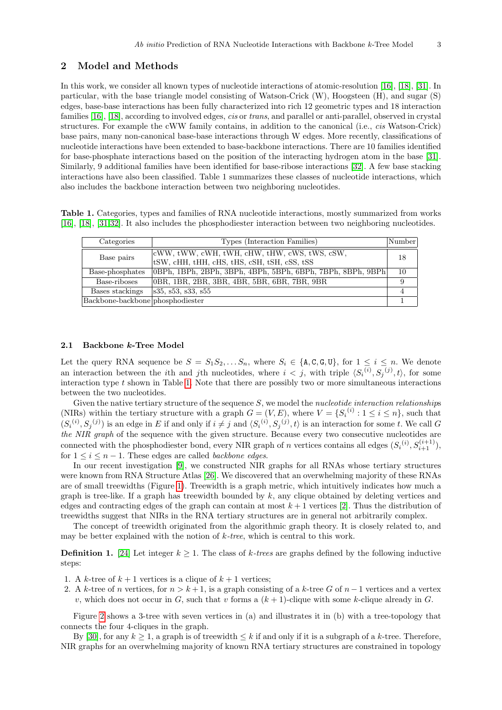# 2 Model and Methods

In this work, we consider all known types of nucleotide interactions of atomic-resolution [\[16\]](#page-11-8), [\[18\]](#page-11-9), [\[31\]](#page-11-11). In particular, with the base triangle model consisting of Watson-Crick (W), Hoogsteen (H), and sugar (S) edges, base-base interactions has been fully characterized into rich 12 geometric types and 18 interaction families [\[16\]](#page-11-8), [\[18\]](#page-11-9), according to involved edges, cis or trans, and parallel or anti-parallel, observed in crystal structures. For example the cWW family contains, in addition to the canonical (i.e., cis Watson-Crick) base pairs, many non-canonical base-base interactions through W edges. More recently, classifications of nucleotide interactions have been extended to base-backbone interactions. There are 10 families identified for base-phosphate interactions based on the position of the interacting hydrogen atom in the base [\[31\]](#page-11-11). Similarly, 9 additional families have been identified for base-ribose interactions [\[32\]](#page-11-12). A few base stacking interactions have also been classified. Table 1 summarizes these classes of nucleotide interactions, which also includes the backbone interaction between two neighboring nucleotides.

Table 1. Categories, types and families of RNA nucleotide interactions, mostly summarized from works [\[16\]](#page-11-8), [\[18\]](#page-11-9), [\[31,](#page-11-11)[32\]](#page-11-12). It also includes the phosphodiester interaction between two neighboring nucleotides.

<span id="page-2-0"></span>

| Categories                       | Types (Interaction Families)                                                                                | Number |
|----------------------------------|-------------------------------------------------------------------------------------------------------------|--------|
| Base pairs                       | $ cWW, tWW, cWH, tWH, cHW, tHW, cWS, tWS, cSW,$<br><sup>t</sup> tSW, cHH, tHH, cHS, tHS, cSH, tSH, cSS, tSS | 18     |
| Base-phosphates                  | 0BPh, 1BPh, 2BPh, 3BPh, 4BPh, 5BPh, 6BPh, 7BPh, 8BPh, 9BPh                                                  | 10     |
| Base-riboses                     | OBR, 1BR, 2BR, 3BR, 4BR, 5BR, 6BR, 7BR, 9BR                                                                 | 9      |
| Bases stackings                  | s35, s53, s33, s55                                                                                          |        |
| Backbone-backbone phosphodiester |                                                                                                             |        |

## 2.1 Backbone k-Tree Model

Let the query RNA sequence be  $S = S_1S_2, \ldots S_n$ , where  $S_i \in \{\text{A}, \text{C}, \text{G}, \text{U}\}\text{, for } 1 \leq i \leq n$ . We denote an interaction between the *i*th and *j*th nucleotides, where  $i < j$ , with triple  $\langle S_i^{(i)}, S_j^{(j)}, t \rangle$ , for some interaction type  $t$  shown in Table [1.](#page-2-0) Note that there are possibly two or more simultaneous interactions between the two nucleotides.

Given the native tertiary structure of the sequence  $S$ , we model the *nucleotide interaction relationships* (NIRs) within the tertiary structure with a graph  $G = (V, E)$ , where  $V = \{S_i^{(i)} : 1 \le i \le n\}$ , such that  $(S_i^{(i)}, S_j^{(j)})$  is an edge in E if and only if  $i \neq j$  and  $\langle S_i^{(i)}, S_j^{(j)}, t \rangle$  is an interaction for some t. We call G the NIR graph of the sequence with the given structure. Because every two consecutive nucleotides are connected with the phosphodiester bond, every NIR graph of n vertices contains all edges  $(S_i^{(i)}, S_{i+1}^{(i+1)}),$ for  $1 \leq i \leq n-1$ . These edges are called *backbone edges*.

In our recent investigation [\[9\]](#page-10-6), we constructed NIR graphs for all RNAs whose tertiary structures were known from RNA Structure Atlas [\[26\]](#page-11-5). We discovered that an overwhelming majority of these RNAs are of small treewidths (Figure [1\)](#page-1-0). Treewidth is a graph metric, which intuitively indicates how much a graph is tree-like. If a graph has treewidth bounded by  $k$ , any clique obtained by deleting vertices and edges and contracting edges of the graph can contain at most  $k + 1$  vertices [\[2\]](#page-10-9). Thus the distribution of treewidths suggest that NIRs in the RNA tertiary structures are in general not arbitrarily complex.

The concept of treewidth originated from the algorithmic graph theory. It is closely related to, and may be better explained with the notion of  $k$ -tree, which is central to this work.

<span id="page-2-1"></span>**Definition 1.** [\[24\]](#page-11-13) Let integer  $k \geq 1$ . The class of k-trees are graphs defined by the following inductive steps:

- 1. A k-tree of  $k + 1$  vertices is a clique of  $k + 1$  vertices;
- 2. A k-tree of n vertices, for  $n > k+1$ , is a graph consisting of a k-tree G of  $n-1$  vertices and a vertex v, which does not occur in G, such that v forms a  $(k + 1)$ -clique with some k-clique already in G.

Figure [2](#page-3-0) shows a 3-tree with seven vertices in (a) and illustrates it in (b) with a tree-topology that connects the four 4-cliques in the graph.

By [\[30\]](#page-11-14), for any  $k > 1$ , a graph is of treewidth  $\leq k$  if and only if it is a subgraph of a k-tree. Therefore, NIR graphs for an overwhelming majority of known RNA tertiary structures are constrained in topology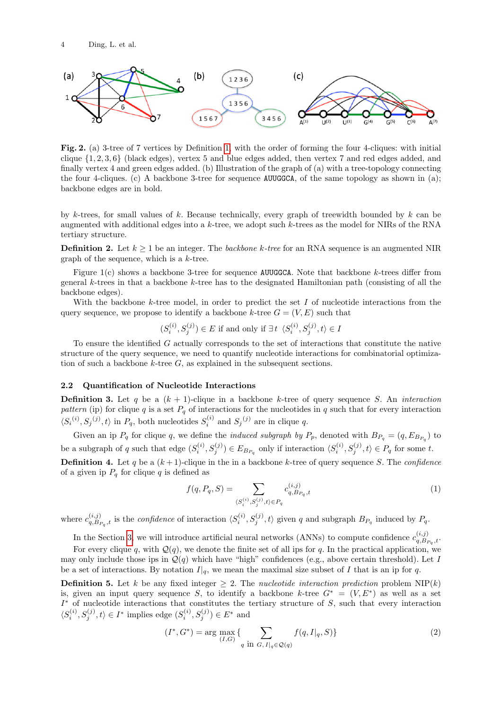

<span id="page-3-0"></span>Fig. 2. (a) 3-tree of 7 vertices by Definition [1,](#page-2-1) with the order of forming the four 4-cliques: with initial clique  $\{1, 2, 3, 6\}$  (black edges), vertex 5 and blue edges added, then vertex 7 and red edges added, and finally vertex 4 and green edges added. (b) Illustration of the graph of (a) with a tree-topology connecting the four 4-cliques. (c) A backbone 3-tree for sequence AUUGGCA, of the same topology as shown in (a); backbone edges are in bold.

by k-trees, for small values of k. Because technically, every graph of treewidth bounded by k can be augmented with additional edges into a  $k$ -tree, we adopt such  $k$ -trees as the model for NIRs of the RNA tertiary structure.

**Definition 2.** Let  $k > 1$  be an integer. The *backbone k-tree* for an RNA sequence is an augmented NIR graph of the sequence, which is a  $k$ -tree.

Figure 1(c) shows a backbone 3-tree for sequence AUUGGCA. Note that backbone k-trees differ from general k-trees in that a backbone k-tree has to the designated Hamiltonian path (consisting of all the backbone edges).

With the backbone k-tree model, in order to predict the set  $I$  of nucleotide interactions from the query sequence, we propose to identify a backbone k-tree  $G = (V, E)$  such that

$$
(S_i^{(i)}, S_j^{(j)}) \in E \text{ if and only if } \exists t \ \langle S_i^{(i)}, S_j^{(j)}, t \rangle \in I
$$

To ensure the identified  $G$  actually corresponds to the set of interactions that constitute the native structure of the query sequence, we need to quantify nucleotide interactions for combinatorial optimization of such a backbone  $k$ -tree  $G$ , as explained in the subsequent sections.

## 2.2 Quantification of Nucleotide Interactions

**Definition 3.** Let q be a  $(k + 1)$ -clique in a backbone k-tree of query sequence S. An interaction pattern (ip) for clique q is a set  $P_q$  of interactions for the nucleotides in q such that for every interaction  $\langle S_i^{(i)}, S_j^{(j)}, t \rangle$  in  $P_q$ , both nucleotides  $S_i^{(i)}$  and  $S_j^{(j)}$  are in clique q.

Given an ip  $P_q$  for clique q, we define the *induced subgraph by*  $P_p$ , denoted with  $B_{P_q} = (q, E_{B_{P_q}})$  to be a subgraph of q such that edge  $(S_i^{(i)}, S_j^{(j)}) \in E_{B_{P_q}}$  only if interaction  $\langle S_i^{(i)}, S_j^{(j)}, t \rangle \in P_q$  for some t.

**Definition 4.** Let q be a  $(k + 1)$ -clique in the in a backbone k-tree of query sequence S. The confidence of a given ip  $P_q$  for clique q is defined as

<span id="page-3-1"></span>
$$
f(q, P_q, S) = \sum_{\langle S_i^{(i)}, S_j^{(j)}, t \rangle \in P_q} c_{q, B_{P_q}, t}^{(i,j)} \tag{1}
$$

where  $c_{a,B}^{(i,j)}$  $\langle i,j\rangle_{q, B_{P_q},t}$  is the *confidence* of interaction  $\langle S_i^{(i)}, S_j^{(j)}, t \rangle$  given q and subgraph  $B_{P_q}$  induced by  $P_q$ .

In the Section [3,](#page-4-0) we will introduce artificial neural networks (ANNs) to compute confidence  $c_{a,B}^{(i,j)}$  $\tilde{q},\tilde{B}_{P_q},t\cdot$ 

For every clique q, with  $Q(q)$ , we denote the finite set of all ips for q. In the practical application, we may only include those ips in  $\mathcal{Q}(q)$  which have "high" confidences (e.g., above certain threshold). Let I be a set of interactions. By notation  $I|_q$ , we mean the maximal size subset of I that is an ip for q.

**Definition 5.** Let k be any fixed integer  $\geq 2$ . The *nucleotide interaction prediction* problem NIP(k) is, given an input query sequence S, to identify a backbone k-tree  $G^* = (V, E^*)$  as well as a set  $I^*$  of nucleotide interactions that constitutes the tertiary structure of  $S$ , such that every interaction  $\langle S_i^{(i)}, S_j^{(j)}, t \rangle \in I^*$  implies edge  $(S_i^{(i)}, S_j^{(j)}) \in E^*$  and

<span id="page-3-2"></span>
$$
(I^*, G^*) = \arg\max_{(I, G)} \{ \sum_{q \text{ in } G, I|_q \in \mathcal{Q}(q)} f(q, I|_q, S) \}
$$
 (2)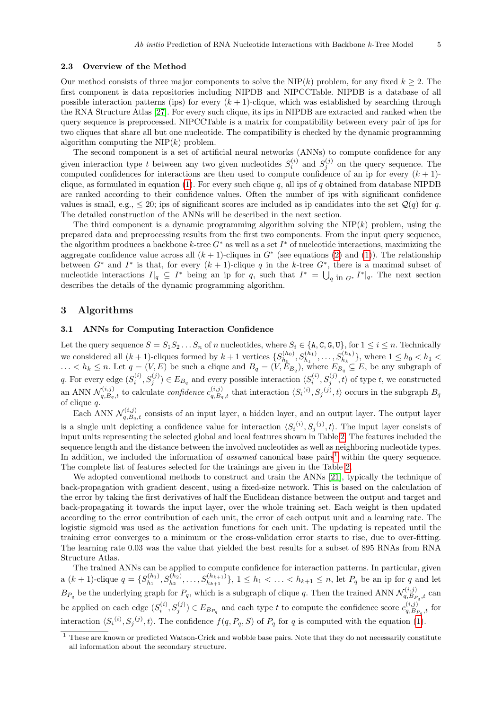## 2.3 Overview of the Method

Our method consists of three major components to solve the NIP(k) problem, for any fixed  $k \geq 2$ . The first component is data repositories including NIPDB and NIPCCTable. NIPDB is a database of all possible interaction patterns (ips) for every  $(k + 1)$ -clique, which was established by searching through the RNA Structure Atlas [\[27\]](#page-11-7). For every such clique, its ips in NIPDB are extracted and ranked when the query sequence is preprocessed. NIPCCTable is a matrix for compatibility between every pair of ips for two cliques that share all but one nucleotide. The compatibility is checked by the dynamic programming algorithm computing the  $NIP(k)$  problem.

The second component is a set of artificial neural networks (ANNs) to compute confidence for any given interaction type t between any two given nucleotides  $S_i^{(i)}$  and  $S_j^{(j)}$  on the query sequence. The computed confidences for interactions are then used to compute confidence of an ip for every  $(k + 1)$ -clique, as formulated in equation [\(1\)](#page-3-1). For every such clique q, all ips of q obtained from database NIPDB are ranked according to their confidence values. Often the number of ips with significant confidence values is small, e.g.,  $\leq 20$ ; ips of significant scores are included as ip candidates into the set  $\mathcal{Q}(q)$  for q. The detailed construction of the ANNs will be described in the next section.

The third component is a dynamic programming algorithm solving the  $NIP(k)$  problem, using the prepared data and preprocessing results from the first two components. From the input query sequence, the algorithm produces a backbone k-tree  $G^*$  as well as a set  $I^*$  of nucleotide interactions, maximizing the aggregate confidence value across all  $(k + 1)$ -cliques in  $G^*$  (see equations [\(2\)](#page-3-2) and [\(1\)](#page-3-1)). The relationship between  $G^*$  and  $I^*$  is that, for every  $(k + 1)$ -clique q in the k-tree  $G^*$ , there is a maximal subset of nucleotide interactions  $I|_q \subseteq I^*$  being an ip for q, such that  $I^* = \bigcup_{q \in \Pi} G^* I^*|_q$ . The next section describes the details of the dynamic programming algorithm.

## <span id="page-4-0"></span>3 Algorithms

## 3.1 ANNs for Computing Interaction Confidence

Let the query sequence  $S = S_1S_2 \ldots S_n$  of n nucleotides, where  $S_i \in \{\text{A}, \text{C}, \text{G}, \text{U}\}\$ , for  $1 \leq i \leq n$ . Technically we considered all  $(k+1)$ -cliques formed by  $k+1$  vertices  $\{S_{h_0}^{(h_0)}\}$  $S_{h_0}^{(h_0)}, S_{h_1}^{(h_1)}, \ldots, S_{h_k}^{(h_k)}\},$  where  $1 \leq h_0 < h_1 <$  $\ldots < h_k \leq n$ . Let  $q = (V, E)$  be such a clique and  $B_q = (V, E_{B_q})$ , where  $E_{B_q} \subseteq E$ , be any subgraph of q. For every edge  $(S_i^{(i)}, S_j^{(j)}) \in E_{B_q}$  and every possible interaction  $\langle S_i^{(i)}, S_j^{(j)}, t \rangle$  of type t, we constructed an ANN  $\mathcal{N}_{q,B_q,t}^{(i,j)}$  to calculate *confidence*  $c_{q,B_q,t}^{(i,j)}$  that interaction  $\langle S_i^{(i)}, S_j^{(j)}, t \rangle$  occurs in the subgraph  $B_q$ of clique q.

Each ANN  $\mathcal{N}_{q,B_q,t}^{(i,j)}$  consists of an input layer, a hidden layer, and an output layer. The output layer is a single unit depicting a confidence value for interaction  $\langle S_i^{(i)}, S_j^{(j)}, t \rangle$ . The input layer consists of input units representing the selected global and local features shown in Table [2.](#page-5-0) The features included the sequence length and the distance between the involved nucleotides as well as neighboring nucleotide types. In addition, we included the information of *assumed* canonical base pairs<sup>[1](#page-4-1)</sup> within the query sequence. The complete list of features selected for the trainings are given in the Table [2.](#page-5-0)

We adopted conventional methods to construct and train the ANNs [\[21\]](#page-11-15), typically the technique of back-propagation with gradient descent, using a fixed-size network. This is based on the calculation of the error by taking the first derivatives of half the Euclidean distance between the output and target and back-propagating it towards the input layer, over the whole training set. Each weight is then updated according to the error contribution of each unit, the error of each output unit and a learning rate. The logistic sigmoid was used as the activation functions for each unit. The updating is repeated until the training error converges to a minimum or the cross-validation error starts to rise, due to over-fitting. The learning rate 0.03 was the value that yielded the best results for a subset of 895 RNAs from RNA Structure Atlas.

The trained ANNs can be applied to compute confidence for interaction patterns. In particular, given a  $(k + 1)$ -clique  $q = \{S_{h_1}^{(h_1)}\}$  $\{b_{h_1}, b_{h_2}, \ldots, b_{h_{k+1}}^{(h_1)}, b_{h_{k+1}}^{(h_2)}, \ldots, b_{h+1}^{(h_k)}\}$ ,  $1 \leq h_1 < \ldots < h_{k+1} \leq n$ , let  $P_q$  be an ip for q and let  $B_{P_q}$  be the underlying graph for  $P_q$ , which is a subgraph of clique q. Then the trained ANN  $\mathcal{N}_{q,B_f}^{(i,j)}$  $q, B_{P_q}, t$  can be applied on each edge  $(S_i^{(i)}, S_j^{(j)}) \in E_{B_{P_q}}$  and each type t to compute the confidence score  $c_{q, B_l}^{(i,j)}$  $\zeta_{q,B_{P_q},t}^{(i,j)}$  for interaction  $\langle S_i^{(i)}, S_j^{(j)}, t \rangle$ . The confidence  $f(q, P_q, S)$  of  $P_q$  for q is computed with the equation [\(1\)](#page-3-1).

<span id="page-4-1"></span> $1$  These are known or predicted Watson-Crick and wobble base pairs. Note that they do not necessarily constitute all information about the secondary structure.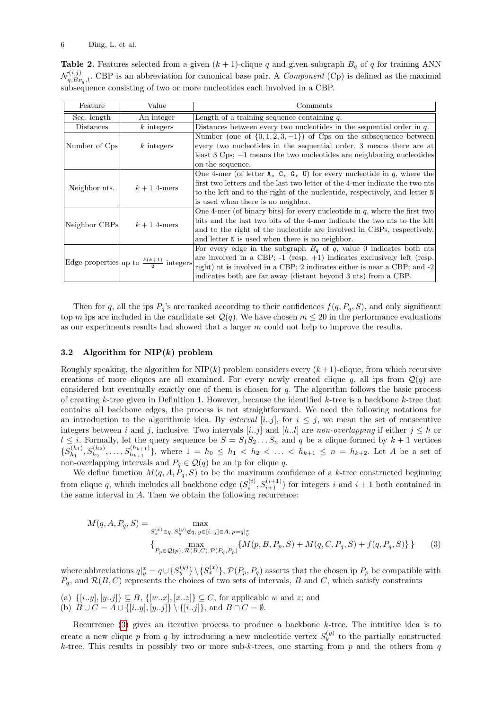<span id="page-5-0"></span>**Table 2.** Features selected from a given  $(k + 1)$ -clique q and given subgraph  $B<sub>q</sub>$  of q for training ANN  $\mathcal{N}^{(i,j)}_{a\;B\;r}$  $Q_{q,B_{P_q},t}^{(i,j)}$ . CBP is an abbreviation for canonical base pair. A *Component* (Cp) is defined as the maximal subsequence consisting of two or more nucleotides each involved in a CBP.

| Feature                                           | Value        | Comments                                                                           |  |  |  |  |  |  |
|---------------------------------------------------|--------------|------------------------------------------------------------------------------------|--|--|--|--|--|--|
| Seq. length                                       | An integer   | Length of a training sequence containing $q$ .                                     |  |  |  |  |  |  |
| Distances                                         | $k$ integers | Distances between every two nucleotides in the sequential order in $q$ .           |  |  |  |  |  |  |
|                                                   |              | Number (one of $\{0, 1, 2, 3, -1\}$ ) of Cps on the subsequence between            |  |  |  |  |  |  |
| Number of Cps                                     | $k$ integers | every two nucleotides in the sequential order. 3 means there are at                |  |  |  |  |  |  |
|                                                   |              | least $3 \text{ Cps}$ ; $-1$ means the two nucleotides are neighboring nucleotides |  |  |  |  |  |  |
|                                                   |              | on the sequence.                                                                   |  |  |  |  |  |  |
|                                                   |              | One 4-mer (of letter $A$ , $C$ , $G$ , $U$ ) for every nucleotide in q, where the  |  |  |  |  |  |  |
| Neighbor nts.                                     | $k+1$ 4-mers | first two letters and the last two letter of the 4-mer indicate the two nts        |  |  |  |  |  |  |
|                                                   |              | to the left and to the right of the nucleotide, respectively, and letter N         |  |  |  |  |  |  |
|                                                   |              | is used when there is no neighbor.                                                 |  |  |  |  |  |  |
|                                                   |              | One 4-mer (of binary bits) for every nucleotide in $q$ , where the first two       |  |  |  |  |  |  |
| Neighbor CBPs                                     | $k+1$ 4-mers | bits and the last two bits of the 4-mer indicate the two nts to the left           |  |  |  |  |  |  |
|                                                   |              | and to the right of the nucleotide are involved in CBPs, respectively,             |  |  |  |  |  |  |
|                                                   |              | and letter N is used when there is no neighbor.                                    |  |  |  |  |  |  |
| Edge properties up to $\frac{k(k+1)}{2}$ integers |              | For every edge in the subgraph $B_q$ of q, value 0 indicates both nts              |  |  |  |  |  |  |
|                                                   |              | are involved in a CBP; $-1$ (resp. $+1$ ) indicates exclusively left (resp.        |  |  |  |  |  |  |
|                                                   |              | right) nt is involved in a CBP; 2 indicates either is near a CBP; and -2           |  |  |  |  |  |  |
|                                                   |              | indicates both are far away (distant beyond 3 nts) from a CBP.                     |  |  |  |  |  |  |

Then for q, all the ips  $P_q$ 's are ranked according to their confidences  $f(q, P_q, S)$ , and only significant top m ips are included in the candidate set  $\mathcal{Q}(q)$ . We have chosen  $m \leq 20$  in the performance evaluations as our experiments results had showed that a larger  $m$  could not help to improve the results.

## 3.2 Algorithm for  $NIP(k)$  problem

Roughly speaking, the algorithm for  $NIP(k)$  problem considers every  $(k+1)$ -clique, from which recursive creations of more cliques are all examined. For every newly created clique q, all ips from  $\mathcal{Q}(q)$  are considered but eventually exactly one of them is chosen for  $q$ . The algorithm follows the basic process of creating k-tree given in Definition 1. However, because the identified  $k$ -tree is a backbone  $k$ -tree that contains all backbone edges, the process is not straightforward. We need the following notations for an introduction to the algorithmic idea. By *interval* [*i..j*], for  $i \leq j$ , we mean the set of consecutive integers between i and j, inclusive. Two intervals [i..j] and [h..l] are non-overlapping if either  $j \leq h$  or  $l \leq i$ . Formally, let the query sequence be  $S = S_1 S_2 \ldots S_n$  and q be a clique formed by  $k+1$  vertices  $\{S_{h_1}^{(h_1)}\}$  $\{b_{h_1},b_{h_2},\ldots,b_{h_{k+1}}^{(h_1)},b_{h_2},\ldots,b_{h_{k+1}}^{(h_{k+1})}\}$ , where  $1 = h_0 \leq h_1 < h_2 < \ldots < h_{k+1} \leq n = h_{k+2}$ . Let A be a set of non-overlapping intervals and  $P_q \in \mathcal{Q}(q)$  be an ip for clique q.

We define function  $M(q, A, P_q, S)$  to be the maximum confidence of a k-tree constructed beginning from clique q, which includes all backbone edge  $(S_i^{(i)}, S_{i+1}^{(i+1)})$  for integers i and  $i+1$  both contained in the same interval in A. Then we obtain the following recurrence:

<span id="page-5-1"></span>
$$
M(q, A, P_q, S) = \max_{\substack{S_x^{(x)} \in q, S_y^{(y)} \notin q, y \in [i..j] \in A, p = q|_y^x}} \{ \max_{\substack{P_p \in \mathcal{Q}(p), \mathcal{R}(B, C), \mathcal{P}(P_q, P_p)}} \{ M(p, B, P_p, S) + M(q, C, P_q, S) + f(q, P_q, S) \} \}
$$
(3)

where abbreviations  $q|_y^x = q \cup \{S_y^{(y)}\} \setminus \{S_x^{(x)}\}, \mathcal{P}(P_p, P_q)$  asserts that the chosen ip  $P_p$  be compatible with  $P_q$ , and  $\mathcal{R}(B, C)$  represents the choices of two sets of intervals, B and C, which satisfy constraints

- (a)  $\{[i..y], [y..j]\} \subseteq B$ ,  $\{[w..x], [x..z]\} \subseteq C$ , for applicable w and z; and
- (b)  $B \cup C = A \cup \{ [i..y], [y..j] \} \setminus \{ [i..j] \}, \text{ and } B \cap C = \emptyset.$

Recurrence  $(3)$  gives an iterative process to produce a backbone k-tree. The intuitive idea is to create a new clique p from q by introducing a new nucleotide vertex  $S_y^{(y)}$  to the partially constructed k-tree. This results in possibly two or more sub-k-trees, one starting from  $p$  and the others from  $q$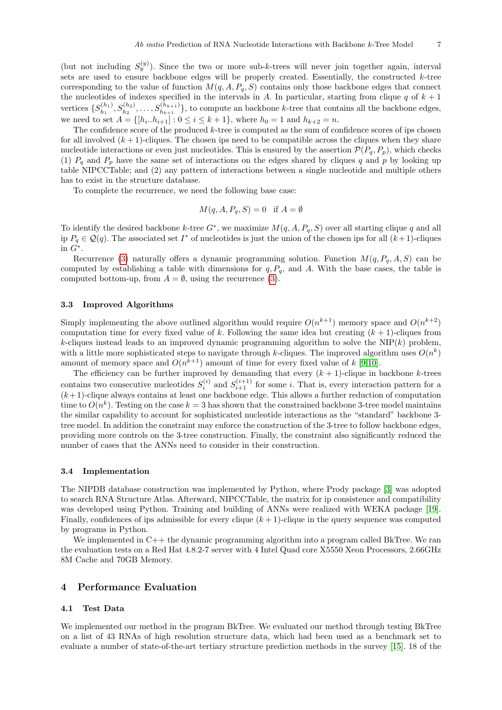(but not including  $S_y^{(y)}$ ). Since the two or more sub-k-trees will never join together again, interval sets are used to ensure backbone edges will be properly created. Essentially, the constructed  $k$ -tree corresponding to the value of function  $M(q, A, P_q, S)$  contains only those backbone edges that connect the nucleotides of indexes specified in the intervals in A. In particular, starting from clique q of  $k + 1$ vertices  $\{S_{h_1}^{(h_1)}\}$  $S_{h_1}^{(h_1)}, S_{h_2}^{(h_2)}, \ldots, S_{h_{k+1}}^{(h_{k+1})}$ , to compute an backbone k-tree that contains all the backbone edges, we need to set  $A = \{[h_i \dots h_{i+1}] : 0 \le i \le k+1\}$ , where  $h_0 = 1$  and  $h_{k+2} = n$ .

The confidence score of the produced k-tree is computed as the sum of confidence scores of ips chosen for all involved  $(k+1)$ -cliques. The chosen ips need to be compatible across the cliques when they share nucleotide interactions or even just nucleotides. This is ensured by the assertion  $\mathcal{P}(P_q, P_p)$ , which checks (1)  $P_q$  and  $P_p$  have the same set of interactions on the edges shared by cliques q and p by looking up table NIPCCTable; and (2) any pattern of interactions between a single nucleotide and multiple others has to exist in the structure database.

To complete the recurrence, we need the following base case:

$$
M(q, A, P_q, S) = 0 \quad \text{if } A = \emptyset
$$

To identify the desired backbone k-tree  $G^*$ , we maximize  $M(q, A, P_q, S)$  over all starting clique q and all ip  $P_q \in \mathcal{Q}(q)$ . The associated set  $I^*$  of nucleotides is just the union of the chosen ips for all  $(k+1)$ -cliques in  $G^*$ .

Recurrence [\(3\)](#page-5-1) naturally offers a dynamic programming solution. Function  $M(q, P_q, A, S)$  can be computed by establishing a table with dimensions for  $q, P<sub>q</sub>$ , and A. With the base cases, the table is computed bottom-up, from  $A = \emptyset$ , using the recurrence [\(3\)](#page-5-1).

## 3.3 Improved Algorithms

Simply implementing the above outlined algorithm would require  $O(n^{k+1})$  memory space and  $O(n^{k+2})$ computation time for every fixed value of k. Following the same idea but creating  $(k + 1)$ -cliques from k-cliques instead leads to an improved dynamic programming algorithm to solve the NIP $(k)$  problem, with a little more sophisticated steps to navigate through k-cliques. The improved algorithm uses  $O(n^k)$ amount of memory space and  $O(n^{k+1})$  amount of time for every fixed value of k [\[9,](#page-10-6)[10\]](#page-10-7).

The efficiency can be further improved by demanding that every  $(k + 1)$ -clique in backbone k-trees contains two consecutive nucleotides  $S_i^{(i)}$  and  $S_{i+1}^{(i+1)}$  for some i. That is, every interaction pattern for a  $(k+1)$ -clique always contains at least one backbone edge. This allows a further reduction of computation time to  $O(n^k)$ . Testing on the case  $k = 3$  has shown that the constrained backbone 3-tree model maintains the similar capability to account for sophisticated nucleotide interactions as the "standard" backbone 3 tree model. In addition the constraint may enforce the construction of the 3-tree to follow backbone edges, providing more controls on the 3-tree construction. Finally, the constraint also significantly reduced the number of cases that the ANNs need to consider in their construction.

#### 3.4 Implementation

The NIPDB database construction was implemented by Python, where Prody package [\[3\]](#page-10-10) was adopted to search RNA Structure Atlas. Afterward, NIPCCTable, the matrix for ip consistence and compatibility was developed using Python. Training and building of ANNs were realized with WEKA package [\[19\]](#page-11-16). Finally, confidences of ips admissible for every clique  $(k + 1)$ -clique in the query sequence was computed by programs in Python.

We implemented in C++ the dynamic programming algorithm into a program called BkTree. We ran the evaluation tests on a Red Hat 4.8.2-7 server with 4 Intel Quad core X5550 Xeon Processors, 2.66GHz 8M Cache and 70GB Memory.

## 4 Performance Evaluation

## 4.1 Test Data

We implemented our method in the program BkTree. We evaluated our method through testing BkTree on a list of 43 RNAs of high resolution structure data, which had been used as a benchmark set to evaluate a number of state-of-the-art tertiary structure prediction methods in the survey [\[15\]](#page-11-0). 18 of the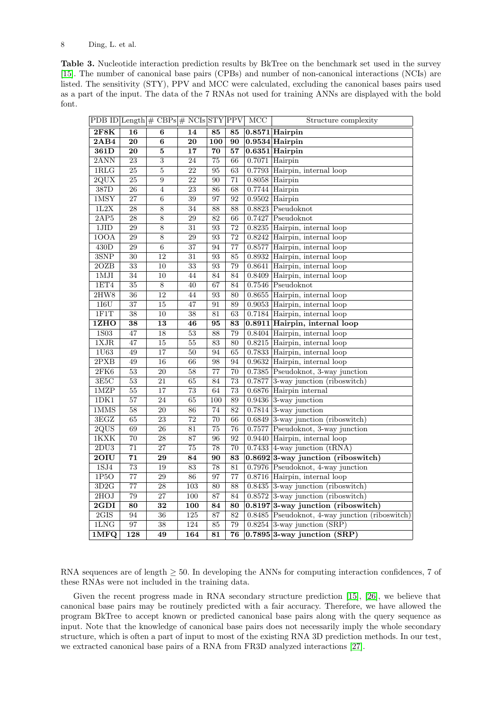<span id="page-7-0"></span>Table 3. Nucleotide interaction prediction results by BkTree on the benchmark set used in the survey [\[15\]](#page-11-0). The number of canonical base pairs (CPBs) and number of non-canonical interactions (NCIs) are listed. The sensitivity (STY), PPV and MCC were calculated, excluding the canonical bases pairs used as a part of the input. The data of the 7 RNAs not used for training ANNs are displayed with the bold font.

|                          |                  | PDB ID Length $\#$ CBPs $\#$ NCIs STY PPV |                  |                 |                 | MCC | Structure complexity                             |  |  |  |
|--------------------------|------------------|-------------------------------------------|------------------|-----------------|-----------------|-----|--------------------------------------------------|--|--|--|
| 2F8K                     | 16               | 6                                         | 14               | 85              | 85              |     | $0.8571$ Hairpin                                 |  |  |  |
| 2AB4                     | 20               | 6                                         | 20               | 100             | 90              |     | $0.9534$ Hairpin                                 |  |  |  |
| 361D                     | 20               | 5                                         | $\overline{17}$  | 70              | 57              |     | $0.6351$ Hairpin                                 |  |  |  |
| 2ANN                     | 23               | 3                                         | 24               | 75              | 66              |     | $0.7071$ Hairpin                                 |  |  |  |
| 1RLG                     | $\overline{25}$  | $\overline{5}$                            | 22               | 95              | 63              |     | $0.7793$ Hairpin, internal loop                  |  |  |  |
| 2QUX                     | 25               | 9                                         | 22               | $\overline{90}$ | 71              |     | $0.8058$ Hairpin                                 |  |  |  |
| 387D                     | $\overline{26}$  | $\overline{4}$                            | 23               | 86              | 68              |     | $0.7744$ Hairpin                                 |  |  |  |
| $1$ MSY                  | 27               | $\overline{6}$                            | $\overline{39}$  | 97              | 92              |     | $0.9502$ Hairpin                                 |  |  |  |
| 1L2X                     | $\overline{28}$  | $\overline{8}$                            | $\overline{34}$  | $\overline{88}$ | 88              |     | $0.8823$ Pseudoknot                              |  |  |  |
| 2AP5                     | $\overline{28}$  | $\overline{8}$                            | $\overline{29}$  | $\overline{82}$ | 66              |     | $0.7427$ Pseudoknot                              |  |  |  |
| 1JID                     | 29               | $\overline{8}$                            | 31               | 93              | 72              |     | 0.8235 Hairpin, internal loop                    |  |  |  |
| 100A                     | $\overline{29}$  | $\overline{8}$                            | $\overline{29}$  | 93              | $\overline{72}$ |     | $0.8242$ Hairpin, internal loop                  |  |  |  |
| $\overline{430D}$        | $\overline{29}$  | $\overline{6}$                            | $\overline{37}$  | 94              | $\overline{77}$ |     | $0.8577$ Hairpin, internal loop                  |  |  |  |
| 3SNP                     | 30               | 12                                        | 31               | 93              | 85              |     | $0.8932$ Hairpin, internal loop                  |  |  |  |
| 2OZB                     | $\overline{33}$  | $\overline{10}$                           | $\overline{33}$  | $\overline{93}$ | 79              |     | 0.8641 Hairpin, internal loop                    |  |  |  |
| $1$ MJI                  | $\overline{34}$  | 10                                        | 44               | $\overline{84}$ | 84              |     | $0.8409$ Hairpin, internal loop                  |  |  |  |
| 1ET4                     | $\overline{35}$  | $\overline{8}$                            | $\overline{40}$  | 67              | 84              |     | $0.7546$ Pseudoknot                              |  |  |  |
| 2HW8                     | 36               | $\overline{12}$                           | 44               | 93              | 80              |     | $0.8655$ Hairpin, internal loop                  |  |  |  |
| 1I6U                     | $\overline{37}$  | $\overline{15}$                           | 47               | 91              | 89              |     | $0.9053$ Hairpin, internal loop                  |  |  |  |
| 1FIT                     | $\overline{38}$  | $\overline{10}$                           | $\overline{38}$  | $\overline{81}$ | 63              |     | $0.7184$ Hairpin, internal loop                  |  |  |  |
| 1ZHO                     | 38               | 13                                        | 46               | 95              | 83              |     | 0.8911 Hairpin, internal loop                    |  |  |  |
| 1S <sub>03</sub>         | 47               | $\overline{18}$                           | $\overline{53}$  | 88              | 79              |     | $0.8404$ Hairpin, internal loop                  |  |  |  |
| 1XJR                     | 47               | $\overline{15}$                           | $\overline{55}$  | $\overline{83}$ | 80              |     | $0.8215$ Hairpin, internal loop                  |  |  |  |
| 1 <sub>0</sub>           | 49               | 17                                        | 50               | 94              | 65              |     | $0.7833$ Hairpin, internal loop                  |  |  |  |
| 2PXB                     | 49               | $\overline{16}$                           | $\overline{66}$  | 98              | 94              |     | $0.9632$ Hairpin, internal loop                  |  |  |  |
| 2FK6                     | $\overline{53}$  | $\overline{20}$                           | $\overline{58}$  | $\overline{77}$ | 70              |     | 0.7385 Pseudoknot, 3-way junction                |  |  |  |
| 3E5C                     | $\overline{53}$  | 21                                        | 65               | 84              | $\overline{73}$ |     | 0.7877 3-way junction (riboswitch)               |  |  |  |
| 1MZP                     | 55               | $\overline{17}$                           | 73               | 64              | 73              |     | $0.6876$ Hairpin internal                        |  |  |  |
| 1DK1                     | $\overline{57}$  | $\overline{24}$                           | 65               | 100             | 89              |     | $0.9436$ 3-way junction                          |  |  |  |
| 1MMS                     | $\overline{58}$  | $\overline{20}$                           | $\overline{86}$  | $\overline{74}$ | $\overline{82}$ |     | $0.7814$ 3-way junction                          |  |  |  |
| 3EGZ                     | 65               | $\overline{23}$                           | 72               | 70              | 66              |     | $0.6849$ 3-way junction (riboswitch)             |  |  |  |
| 2QUS                     | 69               | 26                                        | $\overline{81}$  | $\overline{75}$ | 76              |     | $0.7577$ Pseudoknot, 3-way junction              |  |  |  |
| 1KXK                     | $\overline{70}$  | $\overline{28}$                           | $\overline{87}$  | 96              | 92              |     | $0.9440$ Hairpin, internal loop                  |  |  |  |
| 2DU3                     | 71               | $\overline{27}$                           | 75               | 78              | 70              |     | $0.7433$ 4-way junction (tRNA)                   |  |  |  |
| 20IU                     | $\overline{71}$  | 29                                        | $\overline{84}$  | 90              | 83              |     | $0.8692$ <sup>3</sup> -way junction (riboswitch) |  |  |  |
| 1SJ4                     | $\overline{73}$  | 19                                        | $\overline{83}$  | $\overline{78}$ | 81              |     | 0.7976 Pseudoknot, 4-way junction                |  |  |  |
| 1P5O                     | $\overline{77}$  | 29                                        | $\overline{86}$  | $\overline{97}$ | $\overline{77}$ |     | $0.8716$ Hairpin, internal loop                  |  |  |  |
| 3D2G                     | $\overline{77}$  | $\overline{28}$                           | 103              | 80              | 88              |     | 0.8435 3-way junction (riboswitch)               |  |  |  |
| 2HOJ                     | 79               | $\overline{27}$                           | $\overline{100}$ | 87              | 84              |     | $0.8572$ 3-way junction (riboswitch)             |  |  |  |
| $\overline{\text{2GDI}}$ | $\overline{80}$  | $\overline{32}$                           | $\overline{100}$ | 84              | 80              |     | $0.8197$ <sup>3</sup> -way junction (riboswitch) |  |  |  |
| 2GIS                     | 94               | 36                                        | 125              | 87              | 82              |     | 0.8485 Pseudoknot, 4-way junction (riboswitch)   |  |  |  |
| 1LNG                     | $\overline{97}$  | $\overline{38}$                           | $\overline{124}$ | $\overline{85}$ | 79              |     | $0.8254$ 3-way junction (SRP)                    |  |  |  |
| 1 <sub>1</sub> MPQ       | $\overline{128}$ | $\overline{49}$                           | 164              | 81              | $\overline{76}$ |     | $0.7895$ <sup>3</sup> -way junction (SRP)        |  |  |  |

RNA sequences are of length  $>$  50. In developing the ANNs for computing interaction confidences, 7 of these RNAs were not included in the training data.

Given the recent progress made in RNA secondary structure prediction [\[15\]](#page-11-0), [\[26\]](#page-11-5), we believe that canonical base pairs may be routinely predicted with a fair accuracy. Therefore, we have allowed the program BkTree to accept known or predicted canonical base pairs along with the query sequence as input. Note that the knowledge of canonical base pairs does not necessarily imply the whole secondary structure, which is often a part of input to most of the existing RNA 3D prediction methods. In our test, we extracted canonical base pairs of a RNA from FR3D analyzed interactions [\[27\]](#page-11-7).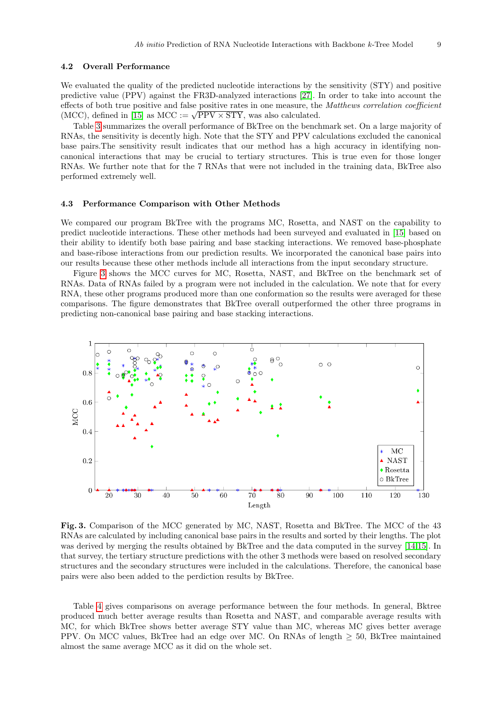## 4.2 Overall Performance

We evaluated the quality of the predicted nucleotide interactions by the sensitivity (STY) and positive predictive value (PPV) against the FR3D-analyzed interactions [\[27\]](#page-11-7). In order to take into account the effects of both true positive and false positive rates in one measure, the Matthews correlation coefficient effects of both true positive and false positive rates in one measure, the (MCC), defined in [\[15\]](#page-11-0) as MCC :=  $\sqrt{PPV} \times STY$ , was also calculated.

Table [3](#page-7-0) summarizes the overall performance of BkTree on the benchmark set. On a large majority of RNAs, the sensitivity is decently high. Note that the STY and PPV calculations excluded the canonical base pairs.The sensitivity result indicates that our method has a high accuracy in identifying noncanonical interactions that may be crucial to tertiary structures. This is true even for those longer RNAs. We further note that for the 7 RNAs that were not included in the training data, BkTree also performed extremely well.

## 4.3 Performance Comparison with Other Methods

We compared our program BkTree with the programs MC, Rosetta, and NAST on the capability to predict nucleotide interactions. These other methods had been surveyed and evaluated in [\[15\]](#page-11-0) based on their ability to identify both base pairing and base stacking interactions. We removed base-phosphate and base-ribose interactions from our prediction results. We incorporated the canonical base pairs into our results because these other methods include all interactions from the input secondary structure.

Figure [3](#page-8-0) shows the MCC curves for MC, Rosetta, NAST, and BkTree on the benchmark set of RNAs. Data of RNAs failed by a program were not included in the calculation. We note that for every RNA, these other programs produced more than one conformation so the results were averaged for these comparisons. The figure demonstrates that BkTree overall outperformed the other three programs in predicting non-canonical base pairing and base stacking interactions.



<span id="page-8-0"></span>Fig. 3. Comparison of the MCC generated by MC, NAST, Rosetta and BkTree. The MCC of the 43 RNAs are calculated by including canonical base pairs in the results and sorted by their lengths. The plot was derived by merging the results obtained by BkTree and the data computed in the survey [\[14,](#page-11-17)[15\]](#page-11-0). In that survey, the tertiary structure predictions with the other 3 methods were based on resolved secondary structures and the secondary structures were included in the calculations. Therefore, the canonical base pairs were also been added to the perdiction results by BkTree.

Table [4](#page-9-0) gives comparisons on average performance between the four methods. In general, Bktree produced much better average results than Rosetta and NAST, and comparable average results with MC, for which BkTree shows better average STY value than MC, whereas MC gives better average PPV. On MCC values, BkTree had an edge over MC. On RNAs of length  $\geq 50$ , BkTree maintained almost the same average MCC as it did on the whole set.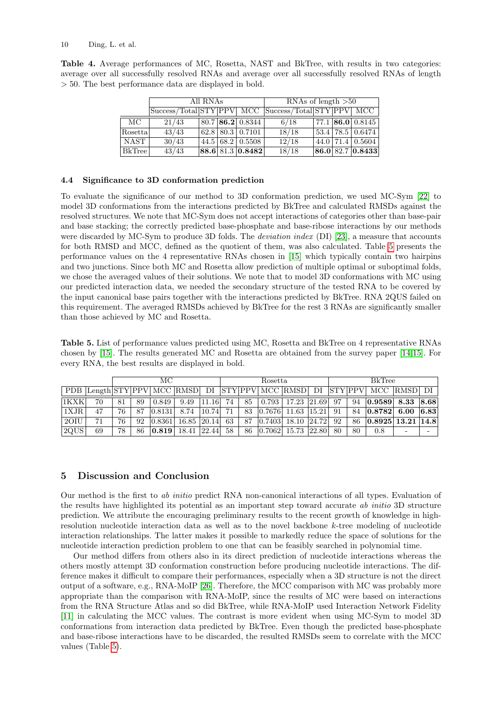|          |                | All RNAs |                                   | RNAs of length $>50$                                |  |  |                    |  |  |  |
|----------|----------------|----------|-----------------------------------|-----------------------------------------------------|--|--|--------------------|--|--|--|
|          |                |          |                                   | Success/Total STY PPV MCC Success/Total STY PPV MCC |  |  |                    |  |  |  |
| MС       | 21/43          |          | $80.7$   86.2   0.8344            | 6/18                                                |  |  | $77.1$ 86.0 0.8145 |  |  |  |
| Rosettal | 43/43          |          | $62.8$   80.3   0.7101            | 18/18                                               |  |  | 53.4 78.5 0.6474   |  |  |  |
| NAST     | 30/43          |          | $44.5 \mid 68.2 \mid 0.5508 \mid$ | 12/18                                               |  |  | $44.0$ 71.4 0.5604 |  |  |  |
| BkTree   | $\sqrt{43/43}$ |          | 88.6 81.3 0.8482                  | 18/18                                               |  |  | 86.0 82.7 0.8433   |  |  |  |

<span id="page-9-0"></span>Table 4. Average performances of MC, Rosetta, NAST and BkTree, with results in two categories: average over all successfully resolved RNAs and average over all successfully resolved RNAs of length > 50. The best performance data are displayed in bold.

## 4.4 Significance to 3D conformation prediction

To evaluate the significance of our method to 3D conformation prediction, we used MC-Sym [\[22\]](#page-11-2) to model 3D conformations from the interactions predicted by BkTree and calculated RMSDs against the resolved structures. We note that MC-Sym does not accept interactions of categories other than base-pair and base stacking; the correctly predicted base-phosphate and base-ribose interactions by our methods were discarded by MC-Sym to produce 3D folds. The *deviation index* (DI) [\[23\]](#page-11-18), a measure that accounts for both RMSD and MCC, defined as the quotient of them, was also calculated. Table [5](#page-9-1) presents the performance values on the 4 representative RNAs chosen in [\[15\]](#page-11-0) which typically contain two hairpins and two junctions. Since both MC and Rosetta allow prediction of multiple optimal or suboptimal folds, we chose the averaged values of their solutions. We note that to model 3D conformations with MC using our predicted interaction data, we needed the secondary structure of the tested RNA to be covered by the input canonical base pairs together with the interactions predicted by BkTree. RNA 2QUS failed on this requirement. The averaged RMSDs achieved by BkTree for the rest 3 RNAs are significantly smaller than those achieved by MC and Rosetta.

<span id="page-9-1"></span>Table 5. List of performance values predicted using MC, Rosetta and BkTree on 4 representative RNAs chosen by [\[15\]](#page-11-0). The results generated MC and Rosetta are obtained from the survey paper [\[14,](#page-11-17)[15\]](#page-11-0). For every RNA, the best results are displayed in bold.

|          |    | МC |    |                           |                                              |       | Rosetta |    |             |                                                        |  | <b>BkTree</b> |    |                                                                        |      |      |
|----------|----|----|----|---------------------------|----------------------------------------------|-------|---------|----|-------------|--------------------------------------------------------|--|---------------|----|------------------------------------------------------------------------|------|------|
|          |    |    |    |                           |                                              |       |         |    |             |                                                        |  |               |    | PDB Length STY PPV MCC RMSD DI STY PPV MCC RMSD DI STY PPV MCC RMSD DI |      |      |
| 1KXK     | 70 | 81 | 89 | 0.849                     | 9.49                                         | 11.16 | 74      | 85 |             | 0.793   17.23   21.69   97                             |  |               | 94 | $ 0.9589 $ 8.33                                                        |      | 8.68 |
| 1XJR     | 47 | 76 | 87 | [0.8131]                  | 8.74                                         | 10.74 | 71      |    |             | 83 0.7676 11.63 15.21                                  |  | -91           | 84 | 0.8782                                                                 | 6.00 | 6.83 |
| $120$ IU | 71 | 76 | 92 |                           | $\vert 0.8361 \vert 16.85 \vert 20.14 \vert$ |       | 63      | 87 |             | $\lfloor 0.7403 \rfloor$ 18.10 $\lfloor 24.72 \rfloor$ |  | 92            | 86 | 0.8925 13.21 14.8                                                      |      |      |
| 2QUS     | 69 | 78 | 86 | $\vert 0.819 \vert 18.41$ |                                              | 22.44 | 58      |    | 86   0.7062 | 15.73 22.80                                            |  | -80           | 80 | 0.8                                                                    | -    |      |

# 5 Discussion and Conclusion

Our method is the first to ab initio predict RNA non-canonical interactions of all types. Evaluation of the results have highlighted its potential as an important step toward accurate ab initio 3D structure prediction. We attribute the encouraging preliminary results to the recent growth of knowledge in highresolution nucleotide interaction data as well as to the novel backbone k-tree modeling of nucleotide interaction relationships. The latter makes it possible to markedly reduce the space of solutions for the nucleotide interaction prediction problem to one that can be feasibly searched in polynomial time.

Our method differs from others also in its direct prediction of nucleotide interactions whereas the others mostly attempt 3D conformation construction before producing nucleotide interactions. The difference makes it difficult to compare their performances, especially when a 3D structure is not the direct output of a software, e.g., RNA-MoIP [\[26\]](#page-11-5). Therefore, the MCC comparison with MC was probably more appropriate than the comparison with RNA-MoIP, since the results of MC were based on interactions from the RNA Structure Atlas and so did BkTree, while RNA-MoIP used Interaction Network Fidelity [\[11\]](#page-10-11) in calculating the MCC values. The contrast is more evident when using MC-Sym to model 3D conformations from interaction data predicted by BkTree. Even though the predicted base-phosphate and base-ribose interactions have to be discarded, the resulted RMSDs seem to correlate with the MCC values (Table [5\)](#page-9-1).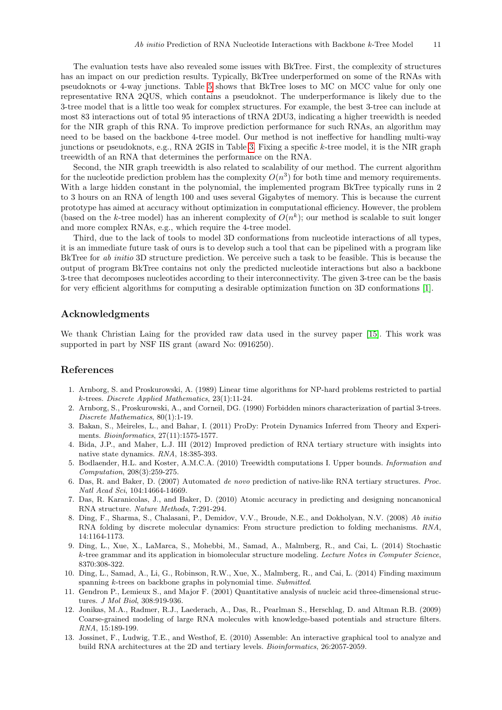The evaluation tests have also revealed some issues with BkTree. First, the complexity of structures has an impact on our prediction results. Typically, BkTree underperformed on some of the RNAs with pseudoknots or 4-way junctions. Table [5](#page-9-1) shows that BkTree loses to MC on MCC value for only one representative RNA 2QUS, which contains a pseudoknot. The underperformance is likely due to the 3-tree model that is a little too weak for complex structures. For example, the best 3-tree can include at most 83 interactions out of total 95 interactions of tRNA 2DU3, indicating a higher treewidth is needed for the NIR graph of this RNA. To improve prediction performance for such RNAs, an algorithm may need to be based on the backbone 4-tree model. Our method is not ineffective for handling multi-way junctions or pseudoknots, e.g., RNA 2GIS in Table [3.](#page-7-0) Fixing a specific k-tree model, it is the NIR graph treewidth of an RNA that determines the performance on the RNA.

Second, the NIR graph treewidth is also related to scalability of our method. The current algorithm for the nucleotide prediction problem has the complexity  $O(n^3)$  for both time and memory requirements. With a large hidden constant in the polynomial, the implemented program BkTree typically runs in 2 to 3 hours on an RNA of length 100 and uses several Gigabytes of memory. This is because the current prototype has aimed at accuracy without optimization in computational efficiency. However, the problem (based on the k-tree model) has an inherent complexity of  $O(n^k)$ ; our method is scalable to suit longer and more complex RNAs, e.g., which require the 4-tree model.

Third, due to the lack of tools to model 3D conformations from nucleotide interactions of all types, it is an immediate future task of ours is to develop such a tool that can be pipelined with a program like BkTree for *ab initio* 3D structure prediction. We perceive such a task to be feasible. This is because the output of program BkTree contains not only the predicted nucleotide interactions but also a backbone 3-tree that decomposes nucleotides according to their interconnectivity. The given 3-tree can be the basis for very efficient algorithms for computing a desirable optimization function on 3D conformations [\[1\]](#page-10-12).

# Acknowledgments

We thank Christian Laing for the provided raw data used in the survey paper [\[15\]](#page-11-0). This work was supported in part by NSF IIS grant (award No: 0916250).

## References

- <span id="page-10-12"></span>1. Arnborg, S. and Proskurowski, A. (1989) Linear time algorithms for NP-hard problems restricted to partial k-trees. Discrete Applied Mathematics, 23(1):11-24.
- <span id="page-10-9"></span>2. Arnborg, S., Proskurowski, A., and Corneil, DG. (1990) Forbidden minors characterization of partial 3-trees. Discrete Mathematics, 80(1):1-19.
- <span id="page-10-10"></span>3. Bakan, S., Meireles, L., and Bahar, I. (2011) ProDy: Protein Dynamics Inferred from Theory and Experiments. Bioinformatics, 27(11):1575-1577.
- <span id="page-10-4"></span>4. Bida, J.P., and Maher, L.J. III (2012) Improved prediction of RNA tertiary structure with insights into native state dynamics. RNA, 18:385-393.
- <span id="page-10-8"></span>5. Bodlaender, H.L. and Koster, A.M.C.A. (2010) Treewidth computations I. Upper bounds. Information and Computation, 208(3):259-275.
- <span id="page-10-0"></span>6. Das, R. and Baker, D. (2007) Automated de novo prediction of native-like RNA tertiary structures. Proc. Natl Acad Sci, 104:14664-14669.
- <span id="page-10-3"></span>7. Das, R. Karanicolas, J., and Baker, D. (2010) Atomic accuracy in predicting and designing noncanonical RNA structure. Nature Methods, 7:291-294.
- <span id="page-10-1"></span>8. Ding, F., Sharma, S., Chalasani, P., Demidov, V.V., Broude, N.E., and Dokholyan, N.V. (2008) Ab initio RNA folding by discrete molecular dynamics: From structure prediction to folding mechanisms. RNA, 14:1164-1173.
- <span id="page-10-6"></span>9. Ding, L., Xue, X., LaMarca, S., Mohebbi, M., Samad, A., Malmberg, R., and Cai, L. (2014) Stochastic k-tree grammar and its application in biomolecular structure modeling. Lecture Notes in Computer Science, 8370:308-322.
- <span id="page-10-7"></span>10. Ding, L., Samad, A., Li, G., Robinson, R.W., Xue, X., Malmberg, R., and Cai, L. (2014) Finding maximum spanning k-trees on backbone graphs in polynomial time. Submitted.
- <span id="page-10-11"></span>11. Gendron P., Lemieux S., and Major F. (2001) Quantitative analysis of nucleic acid three-dimensional structures. J Mol Biol, 308:919-936.
- <span id="page-10-2"></span>12. Jonikas, M.A., Radmer, R.J., Laederach, A., Das, R., Pearlman S., Herschlag, D. and Altman R.B. (2009) Coarse-grained modeling of large RNA molecules with knowledge-based potentials and structure filters. RNA, 15:189-199.
- <span id="page-10-5"></span>13. Jossinet, F., Ludwig, T.E., and Westhof, E. (2010) Assemble: An interactive graphical tool to analyze and build RNA architectures at the 2D and tertiary levels. Bioinformatics, 26:2057-2059.